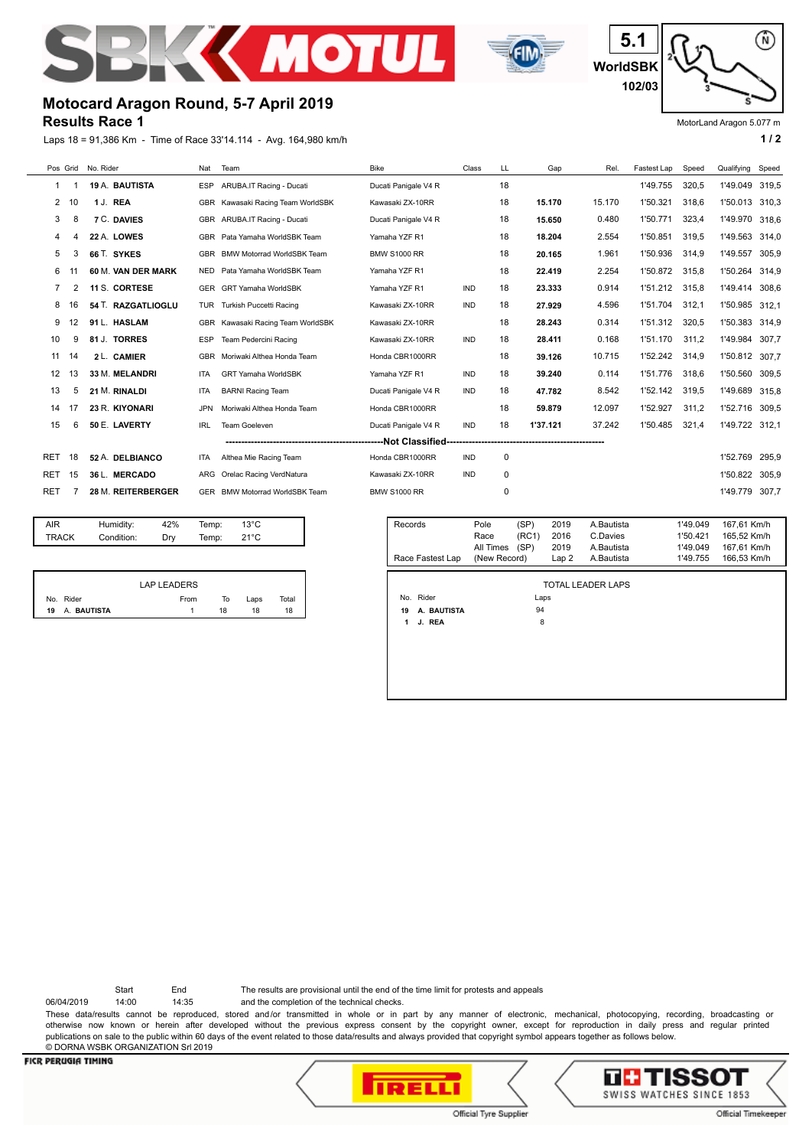



⋒ **5.1 WorldSBK 102/03**

MotorLand Aragon 5.077 m

# **Motocard Aragon Round, 5-7 April 2019**

#### **Results Race 1**

Laps 18 = 91,386 Km - Time of Race 33'14.114 - Avg. 164,980 km/h **1 and 2 1 / 2** 

|                |    | Pos Grid No. Rider    | Nat        | Team                              | <b>Bike</b>          | Class      | LL | Gap      | Rel.   | Fastest Lap | Speed | Qualifying Speed |       |
|----------------|----|-----------------------|------------|-----------------------------------|----------------------|------------|----|----------|--------|-------------|-------|------------------|-------|
| 1              | 1  | <b>19 A. BAUTISTA</b> | <b>ESP</b> | ARUBA.IT Racing - Ducati          | Ducati Panigale V4 R |            | 18 |          |        | 1'49.755    | 320,5 | 1'49.049         | 319,5 |
| 2              | 10 | 1 J. REA              | <b>GBR</b> | Kawasaki Racing Team WorldSBK     | Kawasaki ZX-10RR     |            | 18 | 15.170   | 15.170 | 1'50.321    | 318.6 | 1'50.013         | 310,3 |
| 3              | 8  | 7 C. DAVIES           | <b>GBR</b> | ARUBA.IT Racing - Ducati          | Ducati Panigale V4 R |            | 18 | 15.650   | 0.480  | 1'50.771    | 323.4 | 1'49.970         | 318.6 |
| 4              |    | 22 A. LOWES           |            | GBR Pata Yamaha WorldSBK Team     | Yamaha YZF R1        |            | 18 | 18.204   | 2.554  | 1'50.851    | 319.5 | 1'49.563         | 314.0 |
| 5              | 3  | 66 T. SYKES           |            | GBR BMW Motorrad WorldSBK Team    | <b>BMW S1000 RR</b>  |            | 18 | 20.165   | 1.961  | 1'50.936    | 314,9 | 1'49.557         | 305,9 |
| 6              |    | 60 M. VAN DER MARK    | <b>NED</b> | Pata Yamaha WorldSBK Team         | Yamaha YZF R1        |            | 18 | 22.419   | 2.254  | 1'50.872    | 315.8 | 1'50.264         | 314.9 |
| $\overline{7}$ |    | 11 S. CORTESE         |            | GER GRT Yamaha WorldSBK           | Yamaha YZF R1        | <b>IND</b> | 18 | 23.333   | 0.914  | 1'51.212    | 315.8 | 1'49.414         | 308.6 |
| 8              | 16 | 54 T. RAZGATLIOGLU    | <b>TUR</b> | Turkish Puccetti Racing           | Kawasaki ZX-10RR     | <b>IND</b> | 18 | 27.929   | 4.596  | 1'51.704    | 312.1 | 1'50.985         | 312.1 |
| 9              | 12 | 91 L. HASLAM          | <b>GBR</b> | Kawasaki Racing Team WorldSBK     | Kawasaki ZX-10RR     |            | 18 | 28.243   | 0.314  | 1'51.312    | 320.5 | 1'50.383         | 314.9 |
| 10             | 9  | 81 J. TORRES          | <b>ESP</b> | Team Pedercini Racing             | Kawasaki ZX-10RR     | <b>IND</b> | 18 | 28.411   | 0.168  | 1'51.170    | 311,2 | 1'49.984         | 307.7 |
| 11             | 14 | 2 L. CAMIER           | <b>GBR</b> | Moriwaki Althea Honda Team        | Honda CBR1000RR      |            | 18 | 39.126   | 10.715 | 1'52.242    | 314,9 | 1'50.812         | 307,7 |
| 12             | 13 | 33 M. MELANDRI        | <b>ITA</b> | <b>GRT Yamaha WorldSBK</b>        | Yamaha YZF R1        | <b>IND</b> | 18 | 39.240   | 0.114  | 1'51.776    | 318.6 | 1'50.560         | 309.5 |
| 13             | 5  | 21 M. RINALDI         | <b>ITA</b> | <b>BARNI Racing Team</b>          | Ducati Panigale V4 R | <b>IND</b> | 18 | 47.782   | 8.542  | 1'52.142    | 319.5 | 1'49.689         | 315,8 |
| 14             | 17 | 23 R. KIYONARI        | <b>JPN</b> | Moriwaki Althea Honda Team        | Honda CBR1000RR      |            | 18 | 59.879   | 12.097 | 1'52.927    | 311.2 | 1'52.716         | 309,5 |
| 15             | 6  | 50 E. LAVERTY         | <b>IRL</b> | Team Goeleven                     | Ducati Panigale V4 R | <b>IND</b> | 18 | 1'37.121 | 37.242 | 1'50.485    | 321,4 | 1'49.722         | 312.1 |
|                |    |                       |            |                                   |                      |            |    |          |        |             |       |                  |       |
| RET            | 18 | 52 A. DELBIANCO       | <b>ITA</b> | Althea Mie Racing Team            | Honda CBR1000RR      | <b>IND</b> | 0  |          |        |             |       | 1'52.769         | 295.9 |
| RET            | 15 | 36 L. MERCADO         | ARG        | Orelac Racing VerdNatura          | Kawasaki ZX-10RR     | <b>IND</b> | 0  |          |        |             |       | 1'50.822         | 305.9 |
| RET            |    | 28 M. REITERBERGER    | <b>GER</b> | <b>BMW Motorrad WorldSBK Team</b> | <b>BMW S1000 RR</b>  |            | 0  |          |        |             |       | 1'49.779         | 307,7 |
|                |    |                       |            |                                   |                      |            |    |          |        |             |       |                  |       |

| AIR          | Humidity:  | 42% | Temp: | $13^{\circ}$ C |  |
|--------------|------------|-----|-------|----------------|--|
| <b>TRACK</b> | Condition: | Drv | Temp: | $21^{\circ}$ C |  |
|              |            |     |       |                |  |
|              |            |     |       |                |  |

|                   | <b>LAP LEADERS</b> |    |      |       |
|-------------------|--------------------|----|------|-------|
| No. Rider         | From               | То | Laps | Total |
| A. BAUTISTA<br>19 |                    | 18 | 18   | 18    |

| Records           | Pole<br>Race | (SP)<br>(RC1) | 2019<br>2016 | A.Bautista<br>C.Davies   | 1'49.049<br>1'50.421 | 167,61 Km/h<br>165,52 Km/h |
|-------------------|--------------|---------------|--------------|--------------------------|----------------------|----------------------------|
|                   | All Times    | (SP)          | 2019         | A Bautista               | 1'49.049             | 167,61 Km/h                |
| Race Fastest Lap  | (New Record) |               |              | A.Bautista               | 1'49.755             | 166,53 Km/h                |
|                   |              |               | Lap2         |                          |                      |                            |
|                   |              |               |              |                          |                      |                            |
|                   |              |               |              | <b>TOTAL LEADER LAPS</b> |                      |                            |
| Rider<br>No.      |              | Laps          |              |                          |                      |                            |
| A. BAUTISTA<br>19 |              | 94            |              |                          |                      |                            |
| J. REA<br>1       |              | 8             |              |                          |                      |                            |
|                   |              |               |              |                          |                      |                            |
|                   |              |               |              |                          |                      |                            |
|                   |              |               |              |                          |                      |                            |
|                   |              |               |              |                          |                      |                            |
|                   |              |               |              |                          |                      |                            |
|                   |              |               |              |                          |                      |                            |

Start End The results are provisional until the end of the time limit for protests and appeals

06/04/2019 14:00 14:35 and the completion of the technical checks.

These data/results cannot be reproduced, stored and/or transmitted in whole or in part by any manner of electronic, mechanical, photocopying, recording, broadcasting or otherwise now known or herein after developed without the previous express consent by the copyright owner, except for reproduction in daily press and regular printed publications on sale to the public within 60 days of the event related to those data/results and always provided that copyright symbol appears together as follows below. © DORNA WSBK ORGANIZATION Srl 2019



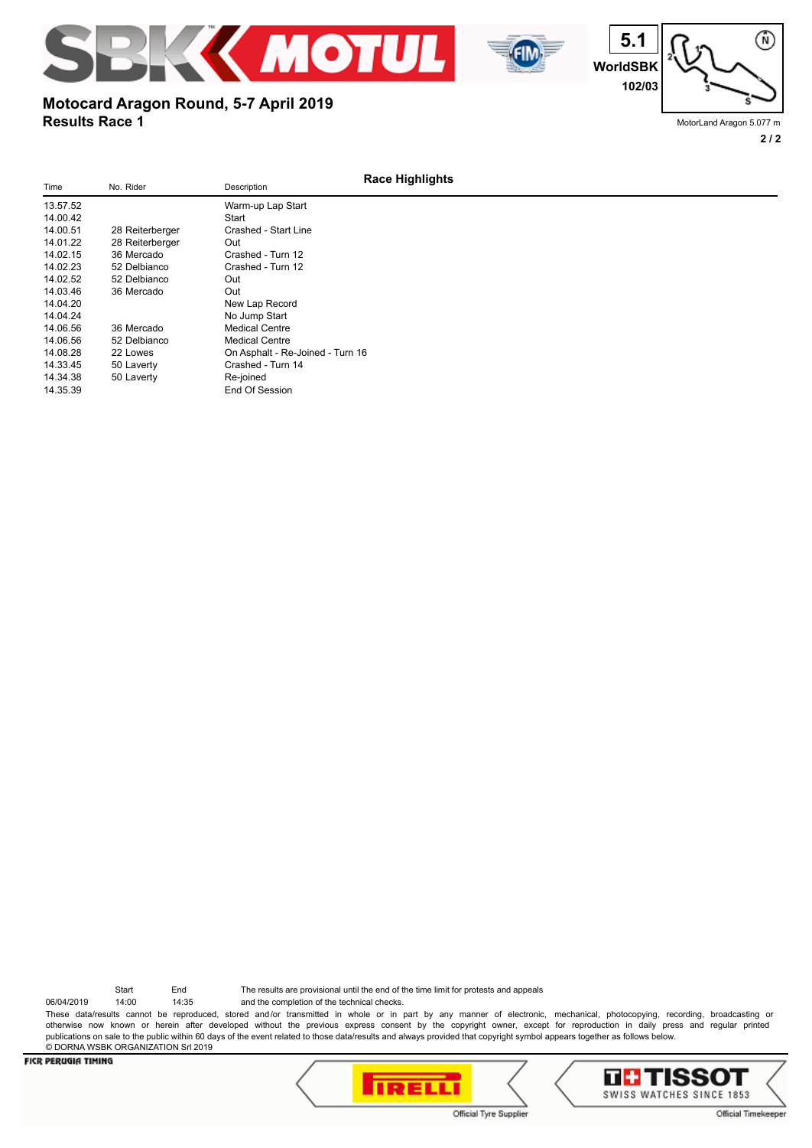



## **Results Race 1 Motocard Aragon Round, 5-7 April 2019**

MotorLand Aragon 5.077 m

**2 / 2**

⋒

| Time     | No. Rider       | Description                      | <b>Race Highlights</b> |
|----------|-----------------|----------------------------------|------------------------|
| 13.57.52 |                 | Warm-up Lap Start                |                        |
| 14.00.42 |                 | Start                            |                        |
| 14.00.51 | 28 Reiterberger | Crashed - Start Line             |                        |
| 14.01.22 | 28 Reiterberger | Out                              |                        |
| 14.02.15 | 36 Mercado      | Crashed - Turn 12                |                        |
| 14.02.23 | 52 Delbianco    | Crashed - Turn 12                |                        |
| 14.02.52 | 52 Delbianco    | Out                              |                        |
| 14.03.46 | 36 Mercado      | Out                              |                        |
| 14.04.20 |                 | New Lap Record                   |                        |
| 14.04.24 |                 | No Jump Start                    |                        |
| 14.06.56 | 36 Mercado      | <b>Medical Centre</b>            |                        |
| 14.06.56 | 52 Delbianco    | <b>Medical Centre</b>            |                        |
| 14.08.28 | 22 Lowes        | On Asphalt - Re-Joined - Turn 16 |                        |
| 14.33.45 | 50 Laverty      | Crashed - Turn 14                |                        |
| 14.34.38 | 50 Laverty      | Re-joined                        |                        |
| 14.35.39 |                 | End Of Session                   |                        |
|          |                 |                                  |                        |

Start End The results are provisional until the end of the time limit for protests and appeals

06/04/2019 14:00 14:35 and the completion of the technical checks. These data/results cannot be reproduced, stored and/or transmitted in whole or in part by any manner of electronic, mechanical, photocopying, recording, broadcasting or otherwise now known or herein after developed without the previous express consent by the copyright owner, except for reproduction in daily press and regular printed publications on sale to the public within 60 days of the event related to those data/results and always provided that copyright symbol appears together as follows below. © DORNA WSBK ORGANIZATION Srl 2019



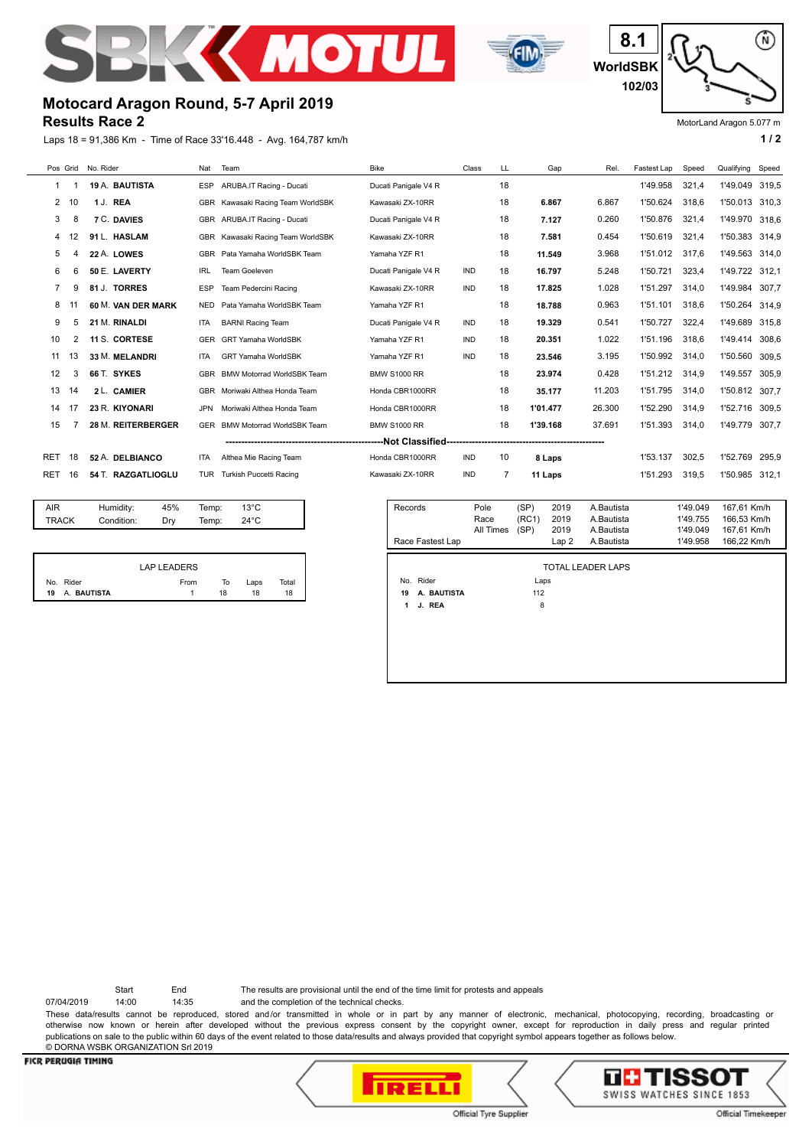



⋒ **8.1 WorldSBK 102/03**

MotorLand Aragon 5.077 m

# **Motocard Aragon Round, 5-7 April 2019**

**Results Race 2**

Laps 18 = 91,386 Km - Time of Race 33'16.448 - Avg. 164,787 km/h **1** / 2

| Pos Grid   |    | No. Rider          | Nat        | Team                              | <b>Bike</b>          | Class      | LL | Gap      | Rel.   | Fastest Lap | Speed | Qualifying | Speed |
|------------|----|--------------------|------------|-----------------------------------|----------------------|------------|----|----------|--------|-------------|-------|------------|-------|
| 1          |    | 19 A. BAUTISTA     | <b>ESP</b> | ARUBA.IT Racing - Ducati          | Ducati Panigale V4 R |            | 18 |          |        | 1'49.958    | 321,4 | 1'49.049   | 319,5 |
| 2          | 10 | 1 J. REA           |            | GBR Kawasaki Racing Team WorldSBK | Kawasaki ZX-10RR     |            | 18 | 6.867    | 6.867  | 1'50.624    | 318.6 | 1'50.013   | 310.3 |
| 3          | 8  | <b>7 C. DAVIES</b> | <b>GBR</b> | ARUBA.IT Racing - Ducati          | Ducati Panigale V4 R |            | 18 | 7.127    | 0.260  | 1'50.876    | 321,4 | 1'49.970   | 318,6 |
| 4          | 12 | 91 L. HASLAM       | <b>GBR</b> | Kawasaki Racing Team WorldSBK     | Kawasaki ZX-10RR     |            | 18 | 7.581    | 0.454  | 1'50.619    | 321.4 | 1'50.383   | 314.9 |
| 5          | 4  | 22 A. LOWES        | <b>GBR</b> | Pata Yamaha WorldSBK Team         | Yamaha YZF R1        |            | 18 | 11.549   | 3.968  | 1'51.012    | 317.6 | 1'49.563   | 314.0 |
| 6          | 6  | 50 E. LAVERTY      | <b>IRL</b> | <b>Team Goeleven</b>              | Ducati Panigale V4 R | <b>IND</b> | 18 | 16.797   | 5.248  | 1'50.721    | 323,4 | 1'49.722   | 312.1 |
| 7          | 9  | 81 J. TORRES       | <b>ESP</b> | Team Pedercini Racing             | Kawasaki ZX-10RR     | <b>IND</b> | 18 | 17.825   | 1.028  | 1'51.297    | 314,0 | 1'49.984   | 307.7 |
| 8          |    | 60 M. VAN DER MARK | <b>NED</b> | Pata Yamaha WorldSBK Team         | Yamaha YZF R1        |            | 18 | 18.788   | 0.963  | 1'51.101    | 318.6 | 1'50.264   | 314.9 |
| 9          | 5  | 21 M. RINALDI      | <b>ITA</b> | <b>BARNI Racing Team</b>          | Ducati Panigale V4 R | <b>IND</b> | 18 | 19.329   | 0.541  | 1'50.727    | 322.4 | 1'49.689   | 315.8 |
| 10         | 2  | 11 S. CORTESE      | <b>GER</b> | <b>GRT Yamaha WorldSBK</b>        | Yamaha YZF R1        | <b>IND</b> | 18 | 20.351   | 1.022  | 1'51.196    | 318.6 | 1'49.414   | 308.6 |
| 11         | 13 | 33 M. MELANDRI     | <b>ITA</b> | <b>GRT Yamaha WorldSBK</b>        | Yamaha YZF R1        | <b>IND</b> | 18 | 23.546   | 3.195  | 1'50.992    | 314.0 | 1'50.560   | 309,5 |
| 12         | 3  | 66 T. SYKES        | <b>GBR</b> | <b>BMW Motorrad WorldSBK Team</b> | <b>BMW S1000 RR</b>  |            | 18 | 23.974   | 0.428  | 1'51.212    | 314,9 | 1'49.557   | 305.9 |
| 13         | 14 | 2 L. CAMIER        | <b>GBR</b> | Moriwaki Althea Honda Team        | Honda CBR1000RR      |            | 18 | 35.177   | 11.203 | 1'51.795    | 314,0 | 1'50.812   | 307.7 |
| 14         | 17 | 23 R. KIYONARI     | <b>JPN</b> | Moriwaki Althea Honda Team        | Honda CBR1000RR      |            | 18 | 1'01.477 | 26.300 | 1'52.290    | 314.9 | 1'52.716   | 309.5 |
| 15         |    | 28 M. REITERBERGER | <b>GER</b> | <b>BMW Motorrad WorldSBK Team</b> | <b>BMW S1000 RR</b>  |            | 18 | 1'39.168 | 37.691 | 1'51.393    | 314,0 | 1'49.779   | 307,7 |
|            |    |                    |            |                                   |                      |            |    |          |        |             |       |            |       |
| <b>RET</b> | 18 | 52 A. DELBIANCO    | <b>ITA</b> | Althea Mie Racing Team            | Honda CBR1000RR      | <b>IND</b> | 10 | 8 Laps   |        | 1'53.137    | 302,5 | 1'52.769   | 295,9 |
| RET        | 16 | 54 T. RAZGATLIOGLU | <b>TUR</b> | Turkish Puccetti Racing           | Kawasaki ZX-10RR     | <b>IND</b> |    | 11 Laps  |        | 1'51.293    | 319,5 | 1'50.985   | 312.1 |
|            |    |                    |            |                                   |                      |            |    |          |        |             |       |            |       |

| <b>TRACK</b> |             | Condition: | Dry                | Temp: | $24^{\circ}$ C |       |
|--------------|-------------|------------|--------------------|-------|----------------|-------|
|              |             |            |                    |       |                |       |
|              |             |            |                    |       |                |       |
|              |             |            | <b>LAP LEADERS</b> |       |                |       |
|              | No. Rider   |            | From               |       | Laps<br>To     | Total |
| 19           | A. BAUTISTA |            |                    |       | 18<br>18       | 18    |

AIR Humidity: 45% Temp: 13°C

| Records          | Pole      | (SP)  | 2019  | A.Bautista | 1'49.049 | 167.61 Km/h |
|------------------|-----------|-------|-------|------------|----------|-------------|
|                  | Race      | (RC1) | 2019  | A Bautista | 1'49.755 | 166.53 Km/h |
|                  | All Times | (SP)  | 2019  | A Bautista | 1'49.049 | 167.61 Km/h |
| Race Fastest Lap |           |       | Lap 2 | A.Bautista | 1'49.958 | 166.22 Km/h |

TOTAL LEADER LAPS

No. Rider Laps  **19 A. BAUTISTA** 112

 **1 J. REA** 8

| Start | End | The results are provisional until the end of the time limit for protests and appeals |
|-------|-----|--------------------------------------------------------------------------------------|
|-------|-----|--------------------------------------------------------------------------------------|

07/04/2019 14:00 14:35 and the completion of the technical checks.

These data/results cannot be reproduced, stored and/or transmitted in whole or in part by any manner of electronic, mechanical, photocopying, recording, broadcasting or otherwise now known or herein after developed without the previous express consent by the copyright owner, except for reproduction in daily press and regular printed publications on sale to the public within 60 days of the event related to those data/results and always provided that copyright symbol appears together as follows below. © DORNA WSBK ORGANIZATION Srl 2019



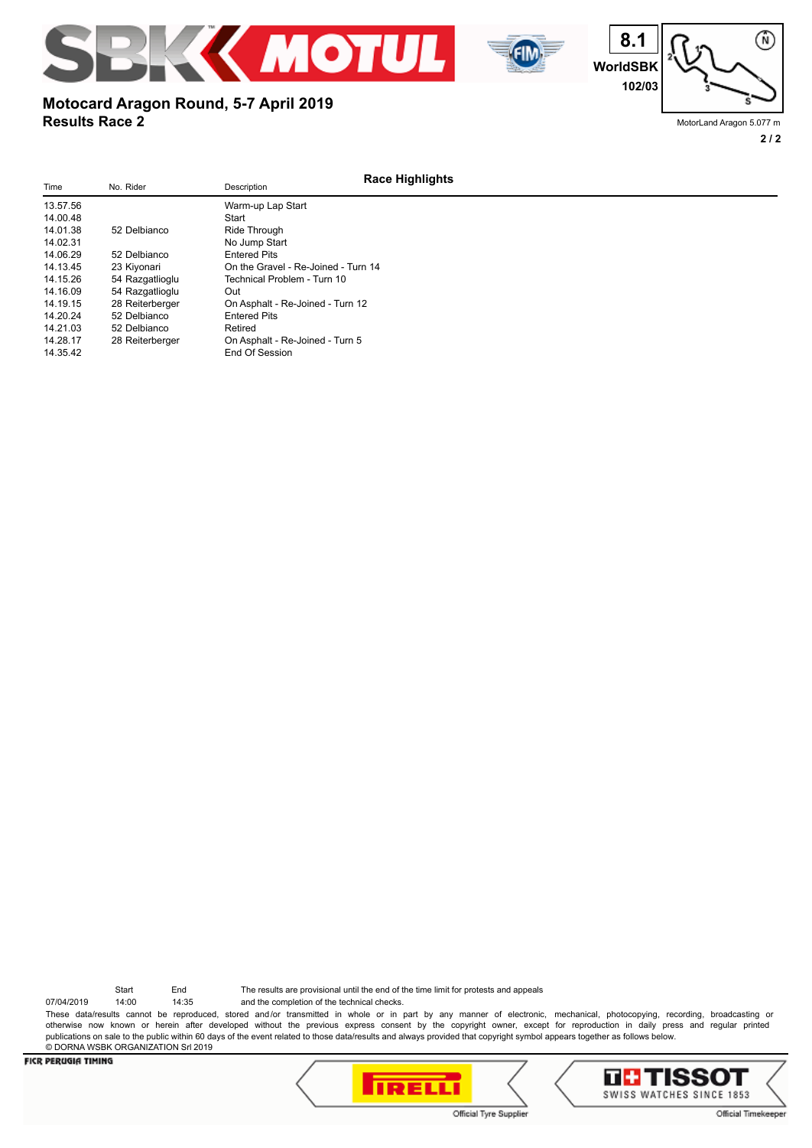





MotorLand Aragon 5.077 m

#### **2 / 2**

#### **Race Highlights** Time No. Rider No. Rider Description 13.57.56 Warm-up Lap Start 14.00.48 <br>14.01.38 52 Delbianco Ride Through 14.01.38 52 Delbianco<br>14.02.31 14.02.02.11 No Jump Start<br>14.02.11 Fotered Pits 14.06.29 52 Delbianco Entered Pits 14.13.45 23 Kiyonari Conthe Gravel - Re-Joined - Turn 14<br>14.15.26 54 Razgatlioglu Technical Problem - Turn 10 14.15.26 54 Razgatlioglu Technical Problem - Turn 10 14.16.09 54 Razgatlioglu<br>14.19.15 28 Reiterberger 14.19.15 28 Reiterberger Con Asphalt - Re-Joined - Turn 12<br>14.20.24 52 Delbianco Fritered Pits 52 Delbianco 14.21.03 52 Delbianco Retired<br>14.28.17 28 Reiterberger On Asp 14.28.17 28 Reiterberger On Asphalt - Re-Joined - Turn 5 End Of Session

**Motocard Aragon Round, 5-7 April 2019**

**Results Race 2**

Start End The results are provisional until the end of the time limit for protests and appeals

07/04/2019 14:00 14:35 and the completion of the technical checks. These data/results cannot be reproduced, stored and/or transmitted in whole or in part by any manner of electronic, mechanical, photocopying, recording, broadcasting or otherwise now known or herein after developed without the previous express consent by the copyright owner, except for reproduction in daily press and regular printed publications on sale to the public within 60 days of the event related to those data/results and always provided that copyright symbol appears together as follows below. © DORNA WSBK ORGANIZATION Srl 2019

#### **FICR PERUGIA TIMING**





Official Tyre Supplier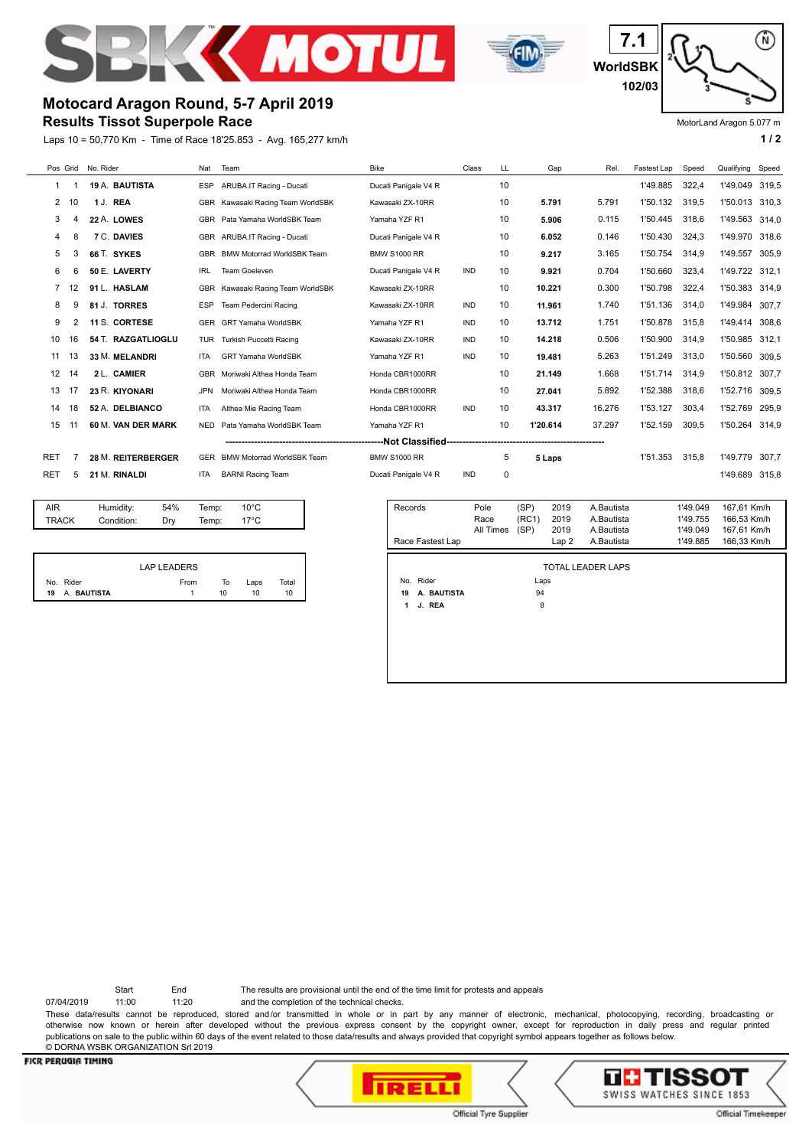



⋒ **7.1 WorldSBK 102/03**

MotorLand Aragon 5.077 m

### **Results Tissot Superpole Race Motocard Aragon Round, 5-7 April 2019**

Laps 10 = 50,770 Km - Time of Race 18'25.853 - Avg. 165,277 km/h **1 and 1 and 1 and 1 and 1 and 1 a** 1 a

| Pos Grid         |    | No. Rider          | Nat        | Team                              | <b>Bike</b>          | Class      | LL | Gap      | Rel.   | Fastest Lap | Speed | Qualifying     | Speed |
|------------------|----|--------------------|------------|-----------------------------------|----------------------|------------|----|----------|--------|-------------|-------|----------------|-------|
|                  |    | 19 A. BAUTISTA     | <b>ESP</b> | ARUBA.IT Racing - Ducati          | Ducati Panigale V4 R |            | 10 |          |        | 1'49.885    | 322.4 | 1'49.049       | 319.5 |
| $\overline{2}$   | 10 | 1 J. REA           |            | GBR Kawasaki Racing Team WorldSBK | Kawasaki ZX-10RR     |            | 10 | 5.791    | 5.791  | 1'50.132    | 319,5 | 1'50.013       | 310.3 |
| 3                |    | 22 A. LOWES        | <b>GBR</b> | Pata Yamaha WorldSBK Team         | Yamaha YZF R1        |            | 10 | 5.906    | 0.115  | 1'50.445    | 318.6 | 1'49.563       | 314.0 |
| 4                | 8  | 7 C. DAVIES        |            | GBR ARUBA.IT Racing - Ducati      | Ducati Panigale V4 R |            | 10 | 6.052    | 0.146  | 1'50.430    | 324.3 | 1'49.970       | 318.6 |
| 5                | 3  | 66 T. SYKES        | <b>GBR</b> | <b>BMW Motorrad WorldSBK Team</b> | <b>BMW S1000 RR</b>  |            | 10 | 9.217    | 3.165  | 1'50.754    | 314.9 | 1'49.557       | 305.9 |
| 6                | 6  | 50 E. LAVERTY      | <b>IRL</b> | Team Goeleven                     | Ducati Panigale V4 R | <b>IND</b> | 10 | 9.921    | 0.704  | 1'50.660    | 323,4 | 1'49.722 312.1 |       |
|                  |    | 91 L. HASLAM       | <b>GBR</b> | Kawasaki Racing Team WorldSBK     | Kawasaki ZX-10RR     |            | 10 | 10.221   | 0.300  | 1'50.798    | 322,4 | 1'50.383       | 314,9 |
| 8                | g  | 81 J. TORRES       | <b>ESP</b> | Team Pedercini Racing             | Kawasaki ZX-10RR     | <b>IND</b> | 10 | 11.961   | 1.740  | 1'51.136    | 314.0 | 1'49.984       | 307.7 |
| 9                | 2  | 11 S. CORTESE      | <b>GER</b> | <b>GRT Yamaha WorldSBK</b>        | Yamaha YZF R1        | <b>IND</b> | 10 | 13.712   | 1.751  | 1'50.878    | 315.8 | 1'49.414       | 308.6 |
| 10               | 16 | 54 T. RAZGATLIOGLU | TUR        | Turkish Puccetti Racing           | Kawasaki ZX-10RR     | <b>IND</b> | 10 | 14.218   | 0.506  | 1'50.900    | 314.9 | 1'50.985       | 312.1 |
| 11               | 13 | 33 M. MELANDRI     | <b>ITA</b> | <b>GRT Yamaha WorldSBK</b>        | Yamaha YZF R1        | <b>IND</b> | 10 | 19.481   | 5.263  | 1'51.249    | 313,0 | 1'50.560       | 309,5 |
| 12 <sup>12</sup> | 14 | 2 L. CAMIER        | <b>GBR</b> | Moriwaki Althea Honda Team        | Honda CBR1000RR      |            | 10 | 21.149   | 1.668  | 1'51.714    | 314,9 | 1'50.812       | 307.7 |
| 13               | 17 | 23 R. KIYONARI     | <b>JPN</b> | Moriwaki Althea Honda Team        | Honda CBR1000RR      |            | 10 | 27.041   | 5.892  | 1'52.388    | 318,6 | 1'52.716       | 309.5 |
| 14               | 18 | 52 A. DELBIANCO    | <b>ITA</b> | Althea Mie Racing Team            | Honda CBR1000RR      | <b>IND</b> | 10 | 43.317   | 16.276 | 1'53.127    | 303,4 | 1'52.769       | 295.9 |
| 15               | 11 | 60 M. VAN DER MARK | NED.       | Pata Yamaha WorldSBK Team         | Yamaha YZF R1        |            | 10 | 1'20.614 | 37.297 | 1'52.159    | 309,5 | 1'50.264 314,9 |       |
|                  |    |                    |            |                                   |                      |            |    |          |        |             |       |                |       |
| RET              |    | 28 M. REITERBERGER | <b>GER</b> | <b>BMW Motorrad WorldSBK Team</b> | <b>BMW S1000 RR</b>  |            | 5  | 5 Laps   |        | 1'51.353    | 315.8 | 1'49.779       | 307.7 |
| RET              | 5  | 21 M. RINALDI      | <b>ITA</b> | <b>BARNI Racing Team</b>          | Ducati Panigale V4 R | <b>IND</b> | 0  |          |        |             |       | 1'49.689       | 315.8 |
|                  |    |                    |            |                                   |                      |            |    |          |        |             |       |                |       |

| AIR<br><b>TRACK</b> | Humidity:<br>Condition: | 54%<br>Dry         | Temp:<br>Temp: | $10^{\circ}$ C<br>$17^{\circ}$ C |  |
|---------------------|-------------------------|--------------------|----------------|----------------------------------|--|
|                     |                         |                    |                |                                  |  |
|                     |                         | <b>LAP LEADERS</b> |                |                                  |  |

|                   | <b>LAP LEADERS</b> |    |      |       |
|-------------------|--------------------|----|------|-------|
| Rider<br>No.      | From               | То | Laps | Total |
| A. BAUTISTA<br>19 |                    | 10 | 10   | 10    |

| Records<br>Race Fastest Lap | Pole<br>Race<br>All Times | (SP)<br>(RC1)<br>(SP) | 2019<br>2019<br>2019<br>Lap2 | A.Bautista<br>A.Bautista<br>A Bautista<br>A.Bautista | 1'49.049<br>1'49.755<br>1'49.049<br>1'49.885 | 167,61 Km/h<br>166.53 Km/h<br>167.61 Km/h<br>166.33 Km/h |
|-----------------------------|---------------------------|-----------------------|------------------------------|------------------------------------------------------|----------------------------------------------|----------------------------------------------------------|
|                             |                           |                       |                              |                                                      |                                              |                                                          |
|                             |                           |                       |                              | TOTAL LEADER LAPS                                    |                                              |                                                          |
| No. Rider                   |                           | Laps                  |                              |                                                      |                                              |                                                          |
| A. BAUTISTA<br>19           |                           | 94                    |                              |                                                      |                                              |                                                          |
| J. REA<br>1                 |                           | 8                     |                              |                                                      |                                              |                                                          |
|                             |                           |                       |                              |                                                      |                                              |                                                          |
|                             |                           |                       |                              |                                                      |                                              |                                                          |
|                             |                           |                       |                              |                                                      |                                              |                                                          |
|                             |                           |                       |                              |                                                      |                                              |                                                          |

Start End The results are provisional until the end of the time limit for protests and appeals

07/04/2019 11:00 11:20 and the completion of the technical checks.

These data/results cannot be reproduced, stored and/or transmitted in whole or in part by any manner of electronic, mechanical, photocopying, recording, broadcasting or otherwise now known or herein after developed without the previous express consent by the copyright owner, except for reproduction in daily press and regular printed publications on sale to the public within 60 days of the event related to those data/results and always provided that copyright symbol appears together as follows below. © DORNA WSBK ORGANIZATION Srl 2019



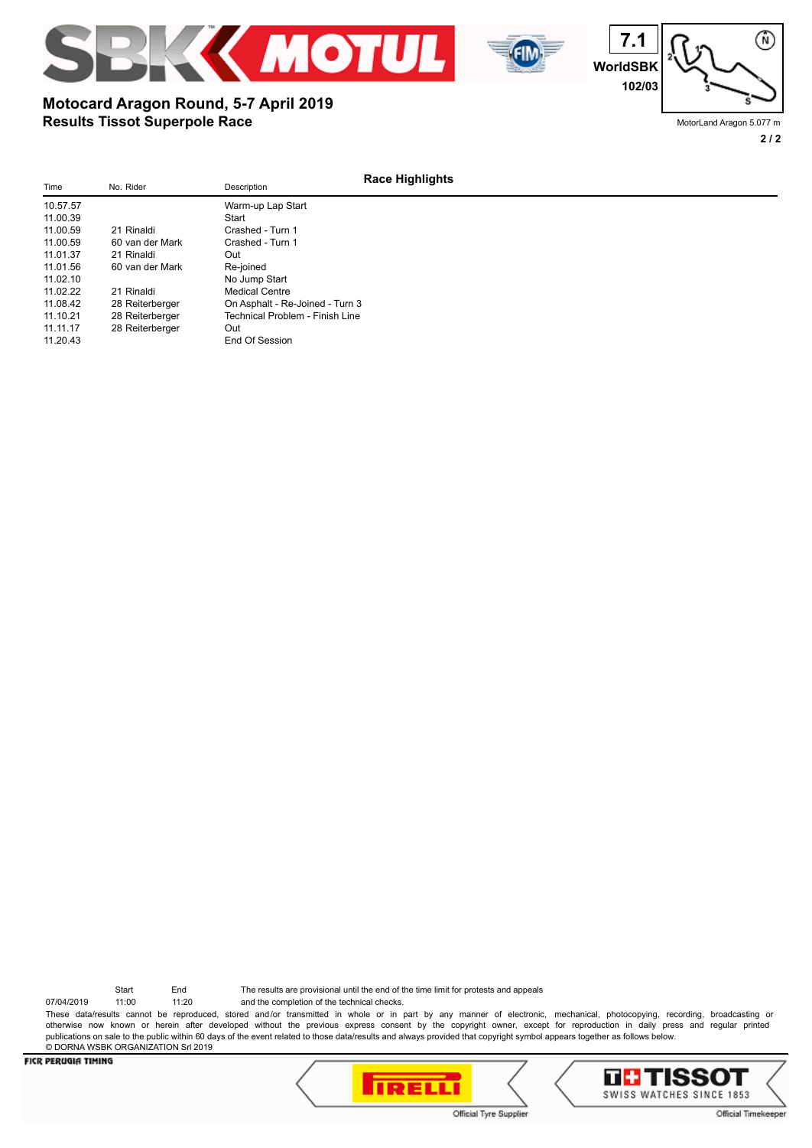





MotorLand Aragon 5.077 m

#### **2 / 2**

#### **Race Highlights** Time No. Rider No. Rider Description 10.57.57 Warm-up Lap Start<br>11.00.39 Start 11.00.39<br>11.00.59 21 Rinaldi 11.00.59 21 Rinaldi Crashed - Turn 1<br>11.00.59 60 van der Mark Crashed - Turn 1 11.000.59 60 van der Mark Crashed - Turn 1<br>121. Rinaldi - Cut 11.01.37 21 Rinaldi Out 11.01.56 60 van der Mark Re-joined<br>11.02.10 No Jump 11.02.10<br>11.02.22 21 Rinaldi 21 Medical Centre 11.02.22 21 Rinaldi Medical Centre<br>11.08.42 28 Reiterberger On Asphalt - Re 11.08.42 28 Reiterberger Con Asphalt - Re-Joined - Turn 3<br>11.10.21 28 Reiterberger Technical Problem - Finish Line Technical Problem - Finish Line 11.11.17 28 Reiterberger Out<br>11.20.43 End End Of Session

**Results Tissot Superpole Race**

**Motocard Aragon Round, 5-7 April 2019**

Start End The results are provisional until the end of the time limit for protests and appeals

07/04/2019 11:00 11:20 and the completion of the technical checks. These data/results cannot be reproduced, stored and/or transmitted in whole or in part by any manner of electronic, mechanical, photocopying, recording, broadcasting or otherwise now known or herein after developed without the previous express consent by the copyright owner, except for reproduction in daily press and regular printed publications on sale to the public within 60 days of the event related to those data/results and always provided that copyright symbol appears together as follows below. © DORNA WSBK ORGANIZATION Srl 2019



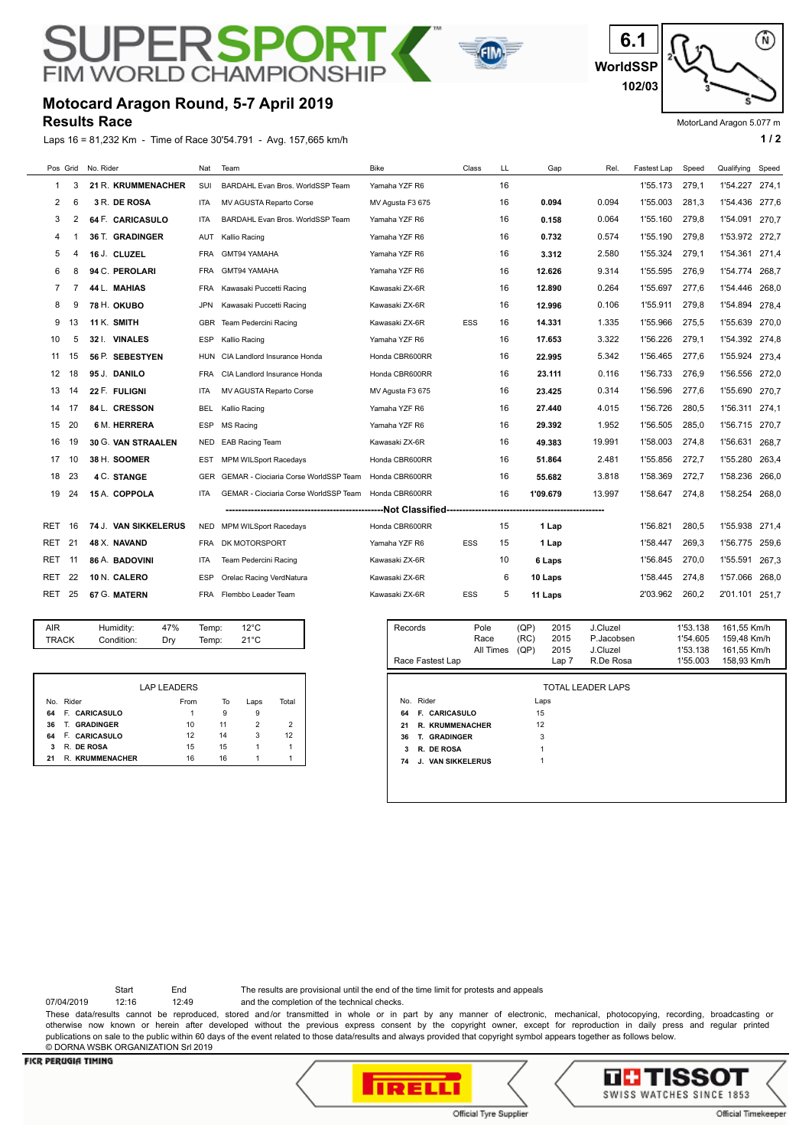# **FIM WORLD CHAMPIONS**

**RSPO** 



PF

#### **Results Race**

Laps 16 = 81,232 Km - Time of Race 30'54.791 - Avg. 157,665 km/h **1 0** and the state of the state of the state of the state of the state of the state of the state of the state of the state of the state of the state of the



MotorLand Aragon 5.077 m

|              | Pos Grid | No. Rider                             | Nat            | Team                                  | <b>Bike</b>      | Class        | LL | Gap                          | Rel.                   | Fastest Lap | Speed                | Qualifying                 | Speed |
|--------------|----------|---------------------------------------|----------------|---------------------------------------|------------------|--------------|----|------------------------------|------------------------|-------------|----------------------|----------------------------|-------|
| 1            | 3        | 21 R. KRUMMENACHER                    | SUI            | BARDAHL Evan Bros. WorldSSP Team      | Yamaha YZF R6    |              | 16 |                              |                        | 1'55.173    | 279.1                | 1'54.227 274.1             |       |
| 2            | 6        | 3 R. DE ROSA                          | <b>ITA</b>     | MV AGUSTA Reparto Corse               | MV Agusta F3 675 |              | 16 | 0.094                        | 0.094                  | 1'55.003    | 281.3                | 1'54.436                   | 277,6 |
| 3            | 2        | 64 F. CARICASULO                      | <b>ITA</b>     | BARDAHL Evan Bros, WorldSSP Team      | Yamaha YZF R6    |              | 16 | 0.158                        | 0.064                  | 1'55.160    | 279.8                | 1'54.091                   | 270.7 |
| 4            |          | 36 T. GRADINGER                       | AUT            | Kallio Racing                         | Yamaha YZF R6    |              | 16 | 0.732                        | 0.574                  | 1'55.190    | 279,8                | 1'53.972 272,7             |       |
| 5            | 4        | 16 J. CLUZEL                          | <b>FRA</b>     | GMT94 YAMAHA                          | Yamaha YZF R6    |              | 16 | 3.312                        | 2.580                  | 1'55.324    | 279,1                | 1'54.361                   | 271,4 |
| 6            | 8        | 94 C. PEROLARI                        | <b>FRA</b>     | GMT94 YAMAHA                          | Yamaha YZF R6    |              | 16 | 12.626                       | 9.314                  | 1'55.595    | 276,9                | 1'54.774                   | 268.7 |
| 7            | 7        | 44 L. MAHIAS                          | <b>FRA</b>     | Kawasaki Puccetti Racing              | Kawasaki ZX-6R   |              | 16 | 12.890                       | 0.264                  | 1'55.697    | 277.6                | 1'54.446                   | 268.0 |
| 8            | 9        | 78 H. OKUBO                           | <b>JPN</b>     | Kawasaki Puccetti Racing              | Kawasaki ZX-6R   |              | 16 | 12.996                       | 0.106                  | 1'55.911    | 279.8                | 1'54.894                   | 278.4 |
| 9            | 13       | 11 K. SMITH                           | GBR            | Team Pedercini Racing                 | Kawasaki ZX-6R   | ESS          | 16 | 14.331                       | 1.335                  | 1'55.966    | 275,5                | 1'55.639                   | 270.0 |
| 10           | 5        | 32   VINALES                          | <b>ESP</b>     | Kallio Racing                         | Yamaha YZF R6    |              | 16 | 17.653                       | 3.322                  | 1'56.226    | 279,1                | 1'54.392 274,8             |       |
| 11           | 15       | 56 P. SEBESTYEN                       | HUN            | CIA Landlord Insurance Honda          | Honda CBR600RR   |              | 16 | 22.995                       | 5.342                  | 1'56.465    | 277,6                | 1'55.924                   | 273,4 |
| 12           | 18       | 95 J. DANILO                          | FRA            | CIA Landlord Insurance Honda          | Honda CBR600RR   |              | 16 | 23.111                       | 0.116                  | 1'56.733    | 276,9                | 1'56.556                   | 272.0 |
| 13           | 14       | 22 F. FULIGNI                         | <b>ITA</b>     | MV AGUSTA Reparto Corse               | MV Agusta F3 675 |              | 16 | 23.425                       | 0.314                  | 1'56.596    | 277.6                | 1'55.690                   | 270.7 |
| 14           | 17       | 84 L. CRESSON                         | <b>BEL</b>     | Kallio Racing                         | Yamaha YZF R6    |              | 16 | 27.440                       | 4.015                  | 1'56.726    | 280,5                | 1'56.311                   | 274.1 |
| 15           | 20       | <b>6 M. HERRERA</b>                   | <b>ESP</b>     | <b>MS Racing</b>                      | Yamaha YZF R6    |              | 16 | 29.392                       | 1.952                  | 1'56.505    | 285.0                | 1'56.715                   | 270,7 |
| 16           | 19       | 30 G. VAN STRAALEN                    | NED            | <b>EAB Racing Team</b>                | Kawasaki ZX-6R   |              | 16 | 49.383                       | 19.991                 | 1'58.003    | 274,8                | 1'56.631                   | 268,7 |
| 17           | 10       | 38 H. SOOMER                          | EST            | <b>MPM WILSport Racedays</b>          | Honda CBR600RR   |              | 16 | 51.864                       | 2.481                  | 1'55.856    | 272,7                | 1'55.280                   | 263,4 |
| 18           | 23       | 4 C. STANGE                           | GER            | GEMAR - Ciociaria Corse WorldSSP Team | Honda CBR600RR   |              | 16 | 55.682                       | 3.818                  | 1'58.369    | 272,7                | 1'58.236                   | 266,0 |
| 19           | 24       | 15 A. COPPOLA                         | <b>ITA</b>     | GEMAR - Ciociaria Corse WorldSSP Team | Honda CBR600RR   |              | 16 | 1'09.679                     | 13.997                 | 1'58.647    | 274.8                | 1'58.254                   | 268.0 |
|              |          |                                       |                |                                       |                  |              |    |                              |                        |             |                      |                            |       |
| RET          | 16       | 74 J. VAN SIKKELERUS                  | NED            | <b>MPM WILSport Racedays</b>          | Honda CBR600RR   |              | 15 | 1 Lap                        |                        | 1'56.821    | 280.5                | 1'55.938                   | 271,4 |
| RET          | 21       | 48 X. NAVAND                          | <b>FRA</b>     | DK MOTORSPORT                         | Yamaha YZF R6    | <b>ESS</b>   | 15 | 1 Lap                        |                        | 1'58.447    | 269.3                | 1'56.775                   | 259.6 |
| RET          | 11       | 86 A. BADOVINI                        | ITA            | Team Pedercini Racing                 | Kawasaki ZX-6R   |              | 10 | 6 Laps                       |                        | 1'56.845    | 270.0                | 1'55.591                   | 267,3 |
| RET          | 22       | 10 N. CALERO                          | <b>ESP</b>     | Orelac Racing VerdNatura              | Kawasaki ZX-6R   |              | 6  | 10 Laps                      |                        | 1'58.445    | 274,8                | 1'57.066                   | 268,0 |
| RET          | 25       | 67 G. MATERN                          | <b>FRA</b>     | Flembbo Leader Team                   | Kawasaki ZX-6R   | ESS          | 5  | 11 Laps                      |                        | 2'03.962    | 260.2                | 2'01.101                   | 251,7 |
|              |          |                                       |                |                                       |                  |              |    |                              |                        |             |                      |                            |       |
| AIR<br>TRACK |          | 47%<br>Humidity:<br>Condition:<br>Dry | Temp:<br>Temp: | $12^{\circ}$ C<br>$21^{\circ}$ C      | Records          | Pole<br>Race |    | (QP)<br>2015<br>(RC)<br>2015 | J.Cluzel<br>P.Jacobsen |             | 1'53.138<br>1'54.605 | 161,55 Km/h<br>159,48 Km/h |       |

| <b>TRACK</b> | Condition: | Dry | Temp: | $21^{\circ}$ C |
|--------------|------------|-----|-------|----------------|
|              |            |     |       |                |
|              |            |     |       |                |

|     |                        | <b>LAP LEADERS</b> |    |      |       |
|-----|------------------------|--------------------|----|------|-------|
| No. | Rider                  | From               | To | Laps | Total |
| 64  | F. CARICASULO          |                    | 9  | g    |       |
| 36  | <b>T. GRADINGER</b>    | 10                 | 11 |      |       |
| 64  | F. CARICASULO          | 12                 | 14 | 3    | 12    |
| 3   | R. DE ROSA             | 15                 | 15 |      |       |
| 21  | <b>R. KRUMMENACHER</b> | 16                 | 16 |      |       |

| Records<br>Race Fastest Lap       | Pole<br>Race<br>All Times | (QP)<br>(RC)<br>(QP) | 2015<br>2015<br>2015<br>Lap 7 | J.Cluzel<br>P.Jacobsen<br>J.Cluzel<br>R.De Rosa | 1'53.138<br>1'54.605<br>1'53.138<br>1'55.003 | 161,55 Km/h<br>159,48 Km/h<br>161,55 Km/h<br>158.93 Km/h |
|-----------------------------------|---------------------------|----------------------|-------------------------------|-------------------------------------------------|----------------------------------------------|----------------------------------------------------------|
|                                   |                           |                      |                               |                                                 |                                              |                                                          |
| No. Rider                         |                           | Laps                 |                               | TOTAL LEADER LAPS                               |                                              |                                                          |
| <b>F. CARICASULO</b><br>64        |                           | 15                   |                               |                                                 |                                              |                                                          |
| 21<br><b>R. KRUMMENACHER</b>      |                           | 12                   |                               |                                                 |                                              |                                                          |
| <b>GRADINGER</b><br>36<br>Т.      |                           | 3                    |                               |                                                 |                                              |                                                          |
| 3<br>R. DE ROSA                   |                           | 1                    |                               |                                                 |                                              |                                                          |
| <b>VAN SIKKELERUS</b><br>74<br>J. |                           | 1                    |                               |                                                 |                                              |                                                          |
|                                   |                           |                      |                               |                                                 |                                              |                                                          |

Start End The results are provisional until the end of the time limit for protests and appeals

07/04/2019 12:16 12:49 and the completion of the technical checks.

These data/results cannot be reproduced, stored and/or transmitted in whole or in part by any manner of electronic, mechanical, photocopying, recording, broadcasting or otherwise now known or herein after developed without the previous express consent by the copyright owner, except for reproduction in daily press and regular printed publications on sale to the public within 60 days of the event related to those data/results and always provided that copyright symbol appears together as follows below. © DORNA WSBK ORGANIZATION Srl 2019



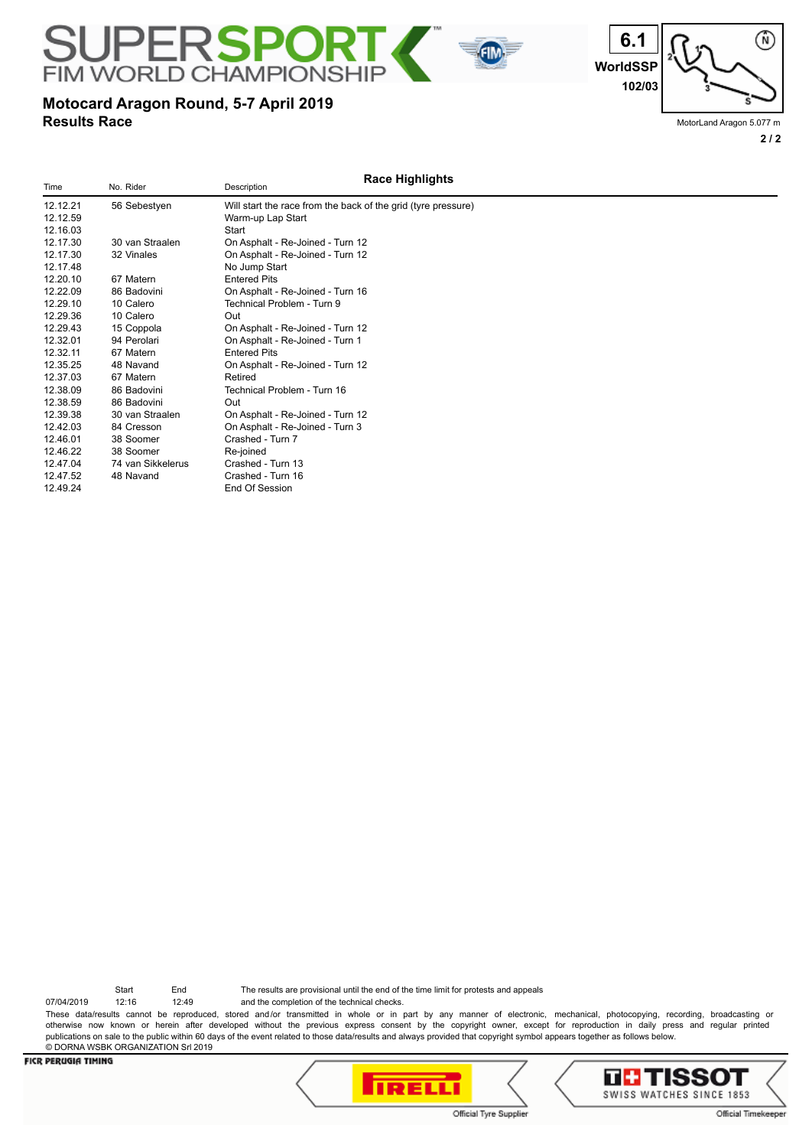**WorldSSP**

**6.1**

# **102/03**

# **Results Race Motocard Aragon Round, 5-7 April 2019**

**FIM WORLD CHAMPIONS** 

**SUPERSPORT** 

MotorLand Aragon 5.077 m

**2 / 2**

⋒

#### **Race Highlights** Time No. Rider No. Rider Description 12.12.21 56 Sebestyen Will start the race from the back of the grid (tyre pressure) Warm-up Lap Start<br>Start 12.16.03<br>12.17.30 30 van Straalen 12.17.30 30 van Straalen On Asphalt - Re-Joined - Turn 12 12.17.30 32 Vinales On Asphalt - Re-Joined - Turn 12 12.17.48 No Jump Start<br>12.20.10 67 Matern Entered Pits 12.20.10 67 Matern Entered Pits<br>12.22.09 86 Badovini On Asphalt -12.22.09 86 Badovini Con Asphalt - Re-Joined - Turn 16<br>10 Calero - Technical Problem - Turn 9 12.29.10 10 Calero Technical Problem - Turn 9 12.29.36 10 Calero Out 12.29.43 15 Coppola On Asphalt - Re-Joined - Turn 12 12.32.01 94 Perolari On Asphalt - Re-Joined - Turn 1 12.32.11 67 Matern Entered Pits 12.35.25 48 Navand On Asphalt - Re-Joined - Turn 12 12.37.03 67 Matern<br>12.38.09 86 Badovini Technical Problem - Turn 16 12.38.59 86 Badovini Out 12.39.38 30 van Straalen On Asphalt - Re-Joined - Turn 12 12.42.03 84 Cresson On Asphalt - Re-Joined - Turn 3 12.46.01 38 Soomer Crashed - Turn 7<br>12.46.22 38 Soomer Re-joined 12.46.38 Soomer Re-joined<br>12.4 van Sikkelerus Crashed - Turn 13 12.47.04 74 van Sikkelerus 12.47.52 48 Navand Crashed - Turn 16 12.49.24 End Of Session

Start End The results are provisional until the end of the time limit for protests and appeals

07/04/2019 12:16 12:49 and the completion of the technical checks. These data/results cannot be reproduced, stored and/or transmitted in whole or in part by any manner of electronic, mechanical, photocopying, recording, broadcasting or otherwise now known or herein after developed without the previous express consent by the copyright owner, except for reproduction in daily press and regular printed publications on sale to the public within 60 days of the event related to those data/results and always provided that copyright symbol appears together as follows below. © DORNA WSBK ORGANIZATION Srl 2019



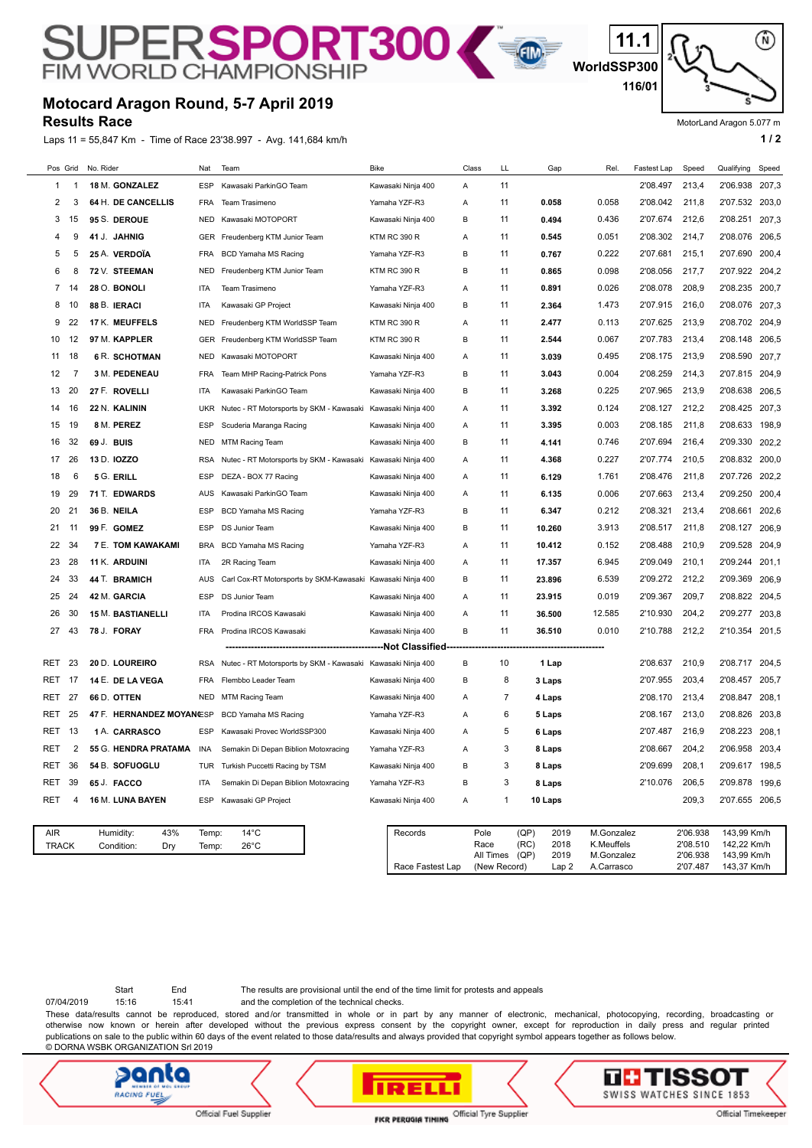# SUPERSPORT300

# **Motocard Aragon Round, 5-7 April 2019**

**Results Race**

Laps 11 = 55,847 Km - Time of Race 23'38.997 - Avg. 141,684 km/h **1 and 2 1 and 2 1 a 1 a 1 a 1 a 1 a 1 a 1 a 1 a 1 a 1 a 1 a 1 a 1 a 1 a 1 a 1 a 1 a 1 a 1 a 1 a 1 a 1 a 1 a** 

**WorldSSP300 11.1 116/01**

E

MotorLand Aragon 5.077 m

⋒

|     |                     | Pos Grid | No. Rider                             | Nat            | Team                                                        | Bike                | Class | LL                        | Gap                              | Rel.                     | Fastest Lap    | Speed                | Qualifying                 | Speed |
|-----|---------------------|----------|---------------------------------------|----------------|-------------------------------------------------------------|---------------------|-------|---------------------------|----------------------------------|--------------------------|----------------|----------------------|----------------------------|-------|
|     | 1                   | -1       | 18 M. GONZALEZ                        | <b>ESP</b>     | Kawasaki ParkinGO Team                                      | Kawasaki Ninja 400  | Α     | 11                        |                                  |                          | 2'08.497       | 213,4                | 2'06.938 207,3             |       |
|     | 2                   | 3        | 64 H. DE CANCELLIS                    | FRA            | Team Trasimeno                                              | Yamaha YZF-R3       | Α     | 11                        | 0.058                            | 0.058                    | 2'08.042       | 211,8                | 2'07.532 203,0             |       |
|     | 3                   | 15       | 95 S. DEROUE                          | <b>NED</b>     | Kawasaki MOTOPORT                                           | Kawasaki Ninja 400  | B     | 11                        | 0.494                            | 0.436                    | 2'07.674       | 212,6                | 2'08.251                   | 207,3 |
|     | 4                   | 9        | 41 J. JAHNIG                          | GER            | Freudenberg KTM Junior Team                                 | <b>KTM RC 390 R</b> | Α     | 11                        | 0.545                            | 0.051                    | 2'08.302       | 214,7                | 2'08.076                   | 206,5 |
|     | 5                   | 5        | 25 A. VERDOÏA                         | <b>FRA</b>     | BCD Yamaha MS Racing                                        | Yamaha YZF-R3       | B     | 11                        | 0.767                            | 0.222                    | 2'07.681       | 215,1                | 2'07.690                   | 200,4 |
|     | 6                   | 8        | 72 V. STEEMAN                         | NED            | Freudenberg KTM Junior Team                                 | <b>KTM RC 390 R</b> | B     | 11                        | 0.865                            | 0.098                    | 2'08.056       | 217,7                | 2'07.922 204,2             |       |
|     | 7                   | 14       | 28 O. BONOLI                          | ITA            | Team Trasimeno                                              | Yamaha YZF-R3       | Α     | 11                        | 0.891                            | 0.026                    | 2'08.078       | 208,9                | 2'08.235 200,7             |       |
|     | 8                   | 10       | 88 B. IERACI                          | ITA            | Kawasaki GP Project                                         | Kawasaki Ninja 400  | в     | 11                        | 2.364                            | 1.473                    | 2'07.915       | 216,0                | 2'08.076 207,3             |       |
|     | 9                   | 22       | 17 K. MEUFFELS                        | <b>NED</b>     | Freudenberg KTM WorldSSP Team                               | <b>KTM RC 390 R</b> | Α     | 11                        | 2.477                            | 0.113                    | 2'07.625       | 213,9                | 2'08.702 204.9             |       |
|     | 10                  | 12       | 97 M. KAPPLER                         | GER            | Freudenberg KTM WorldSSP Team                               | KTM RC 390 R        | В     | 11                        | 2.544                            | 0.067                    | 2'07.783       | 213,4                | 2'08.148                   | 206,5 |
|     | 11                  | 18       | <b>6 R. SCHOTMAN</b>                  | <b>NED</b>     | Kawasaki MOTOPORT                                           | Kawasaki Ninja 400  | Α     | 11                        | 3.039                            | 0.495                    | 2'08.175       | 213,9                | 2'08.590                   | 207,7 |
|     | 12                  | -7       | 3 M. PEDENEAU                         | <b>FRA</b>     | Team MHP Racing-Patrick Pons                                | Yamaha YZF-R3       | B     | 11                        | 3.043                            | 0.004                    | 2'08.259       | 214,3                | 2'07.815 204,9             |       |
|     | 13                  | 20       | 27 F. ROVELLI                         | ITA            | Kawasaki ParkinGO Team                                      | Kawasaki Ninja 400  | B     | 11                        | 3.268                            | 0.225                    | 2'07.965       | 213,9                | 2'08.638                   | 206,5 |
|     | 14                  | 16       | 22 N. KALININ                         | <b>UKR</b>     | Nutec - RT Motorsports by SKM - Kawasaki                    | Kawasaki Ninja 400  | Α     | 11                        | 3.392                            | 0.124                    | 2'08.127       | 212,2                | 2'08.425                   | 207,3 |
|     | 15                  | 19       | 8 M. PEREZ                            | ESP            | Scuderia Maranga Racing                                     | Kawasaki Ninja 400  | Α     | 11                        | 3.395                            | 0.003                    | 2'08.185       | 211,8                | 2'08.633                   | 198,9 |
|     | 16                  | 32       | 69 J. BUIS                            | <b>NED</b>     | MTM Racing Team                                             | Kawasaki Ninja 400  | в     | 11                        | 4.141                            | 0.746                    | 2'07.694       | 216,4                | 2'09.330                   | 202,2 |
|     | 17                  | 26       | 13 D. IOZZO                           | <b>RSA</b>     | Nutec - RT Motorsports by SKM - Kawasaki                    | Kawasaki Ninja 400  | Α     | 11                        | 4.368                            | 0.227                    | 2'07.774       | 210,5                | 2'08.832 200,0             |       |
|     | 18                  | 6        | 5 G. ERILL                            | <b>ESP</b>     | DEZA - BOX 77 Racing                                        | Kawasaki Ninja 400  | Α     | 11                        | 6.129                            | 1.761                    | 2'08.476       | 211,8                | 2'07.726 202,2             |       |
|     | 19                  | 29       | 71 T. EDWARDS                         | AUS            | Kawasaki ParkinGO Team                                      | Kawasaki Ninja 400  | Α     | 11                        | 6.135                            | 0.006                    | 2'07.663       | 213,4                | 2'09.250                   | 200,4 |
|     | 20                  | 21       | 36 B. NEILA                           | <b>ESP</b>     | <b>BCD Yamaha MS Racing</b>                                 | Yamaha YZF-R3       | B     | 11                        | 6.347                            | 0.212                    | 2'08.321       | 213,4                | 2'08.661                   | 202,6 |
|     | 21                  | 11       | 99 F. GOMEZ                           | <b>ESP</b>     | DS Junior Team                                              | Kawasaki Ninja 400  | B     | 11                        | 10.260                           | 3.913                    | 2'08.517       | 211,8                | 2'08.127                   | 206,9 |
|     | 22                  | 34       | <b>7 E. TOM KAWAKAMI</b>              | <b>BRA</b>     | <b>BCD Yamaha MS Racing</b>                                 | Yamaha YZF-R3       | Α     | 11                        | 10.412                           | 0.152                    | 2'08.488       | 210,9                | 2'09.528                   | 204,9 |
|     | 23                  | 28       | 11 K. ARDUINI                         | ITA            | 2R Racing Team                                              | Kawasaki Ninja 400  | Α     | 11                        | 17.357                           | 6.945                    | 2'09.049       | 210,1                | 2'09.244                   | 201,1 |
|     | 24                  | 33       | 44 T. BRAMICH                         | AUS            | Carl Cox-RT Motorsports by SKM-Kawasaki Kawasaki Ninja 400  |                     | В     | 11                        | 23.896                           | 6.539                    | 2'09.272       | 212,2                | 2'09.369                   | 206,9 |
|     | 25                  | 24       | 42 M. GARCIA                          | ESP            | DS Junior Team                                              | Kawasaki Ninja 400  | Α     | 11                        | 23.915                           | 0.019                    | 2'09.367       | 209,7                | 2'08.822                   | 204,5 |
|     | 26                  | 30       | <b>15 M. BASTIANELLI</b>              | ITA            | Prodina IRCOS Kawasaki                                      | Kawasaki Ninja 400  | Α     | 11                        | 36.500                           | 12.585                   | 2'10.930       | 204,2                | 2'09.277                   | 203,8 |
|     | 27                  | 43       | 78 J. FORAY                           | <b>FRA</b>     | Prodina IRCOS Kawasaki                                      | Kawasaki Ninja 400  | B     | 11                        | 36.510                           | 0.010                    | 2'10.788       | 212,2                | 2'10.354 201,5             |       |
|     |                     |          |                                       |                |                                                             |                     |       |                           |                                  |                          |                |                      |                            |       |
| RET |                     | 23       | 20 D. LOUREIRO                        | <b>RSA</b>     | Nutec - RT Motorsports by SKM - Kawasaki Kawasaki Ninja 400 |                     | В     | 10                        | 1 Lap                            |                          | 2'08.637       | 210,9                | 2'08.717                   | 204,5 |
| RET |                     | 17       | 14 E. DE LA VEGA                      | <b>FRA</b>     | Flembbo Leader Team                                         | Kawasaki Ninja 400  | B     | 8                         | 3 Laps                           |                          | 2'07.955       | 203,4                | 2'08.457                   | 205,7 |
| RET |                     | 27       | 66 D. OTTEN                           | <b>NED</b>     | MTM Racing Team                                             | Kawasaki Ninja 400  | Α     | 7                         | 4 Laps                           |                          | 2'08.170       | 213,4                | 2'08.847                   | 208,1 |
| RET |                     | 25       | 47 F. HERNANDEZ MOYANŒSP              |                | BCD Yamaha MS Racing                                        | Yamaha YZF-R3       | Α     | 6                         | 5 Laps                           |                          | 2'08.167       | 213,0                | 2'08.826                   | 203,8 |
| RET |                     | 13       | 1 A. CARRASCO                         | <b>ESP</b>     | Kawasaki Provec WorldSSP300                                 | Kawasaki Ninja 400  | Α     | 5                         | 6 Laps                           |                          | 2'07.487       | 216,9                | 2'08.223                   | 208,1 |
| RET |                     | 2        | 55 G. HENDRA PRATAMA                  | INA            | Semakin Di Depan Biblion Motoxracing                        | Yamaha YZF-R3       | Α     | 3                         | 8 Laps                           |                          | 2'08.667       | 204,2                | 2'06.958                   | 203,4 |
|     | RET                 | 36       | 54 B. SOFUOGLU                        | TUR            | Turkish Puccetti Racing by TSM                              | Kawasaki Ninja 400  | B     | 3                         | 8 Laps                           |                          | 2'09.699       | 208,1                | 2'09.617 198,5             |       |
|     | RET 39              |          | 65 J. FACCO                           | ITA            | Semakin Di Depan Biblion Motoxracing                        | Yamaha YZF-R3       | B     | 3                         | 8 Laps                           |                          | 2'10.076 206,5 |                      | 2'09.878 199,6             |       |
| RET |                     | 4        | 16 M. LUNA BAYEN                      | <b>ESP</b>     | Kawasaki GP Project                                         | Kawasaki Ninja 400  | Α     | 1                         | 10 Laps                          |                          |                | 209,3                | 2'07.655 206,5             |       |
|     |                     |          |                                       |                |                                                             |                     |       |                           |                                  |                          |                |                      |                            |       |
|     | AIR<br><b>TRACK</b> |          | Humidity:<br>43%<br>Condition:<br>Dry | Temp:<br>Temp: | $14^{\circ}$ C<br>$26^{\circ}$ C                            | Records             |       | Pole<br>Race              | (QP)<br>2019<br>(RC)<br>2018     | M.Gonzalez<br>K.Meuffels |                | 2'06.938<br>2'08.510 | 143,99 Km/h<br>142,22 Km/h |       |
|     |                     |          |                                       |                |                                                             | Race Fastest Lap    |       | All Times<br>(New Record) | (QP)<br>2019<br>Lap <sub>2</sub> | M.Gonzalez<br>A.Carrasco |                | 2'06.938<br>2'07.487 | 143,99 Km/h<br>143,37 Km/h |       |

07/04/2019 15:16 15:41 and the completion of the technical checks. Start End The results are provisional until the end of the time limit for protests and appeals

These data/results cannot be reproduced, stored and/or transmitted in whole or in part by any manner of electronic, mechanical, photocopying, recording, broadcasting or otherwise now known or herein after developed without the previous express consent by the copyright owner, except for reproduction in daily press and regular printed publications on sale to the public within 60 days of the event related to those data/results and always provided that copyright symbol appears together as follows below. © DORNA WSBK ORGANIZATION Srl 2019